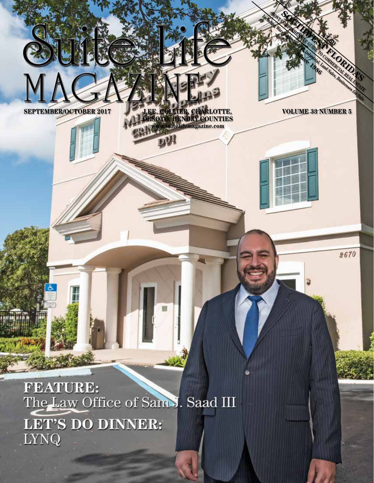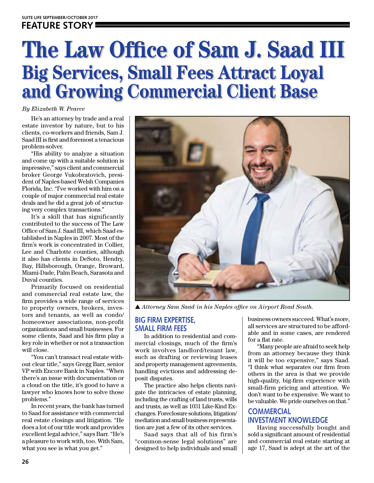# **The Law Office of Sam J. Saad III Big Services, Small Fees Attract Loyal and Growing Commercial Client Base**

*By Elizabeth W. Pearce*

He's an attorney by trade and a real estate investor by nature, but to his clients, co-workers and friends, Sam J. Saad III is first and foremost a tenacious problem-solver.

"His ability to analyze a situation and come up with a suitable solution is impressive," says client and commercial broker George Vukobratovich, president of Naples-based Welsh Companies Florida, Inc. "I've worked with him on a couple of major commercial real estate deals and he did a great job of structuring very complex transactions."

It's a skill that has significantly contributed to the success of The Law Office of Sam J. Saad III, which Saad established in Naples in 2007. Most of the firm's work is concentrated in Collier, Lee and Charlotte counties, although it also has clients in DeSoto, Hendry, Bay, Hillsborough, Orange, Broward, Miami-Dade, Palm Beach, Sarasota and Duval counties.

Primarily focused on residential and commercial real estate law, the firm provides a wide range of services to property owners, brokers, investors and tenants, as well as condo/ homeowner associations, non-profit organizations and small businesses. For some clients, Saad and his firm play a key role in whether or not a transaction will close.

"You can't transact real estate without clear title," says Gregg Barr, senior VP with Encore Bank in Naples. "When there's an issue with documentation or a cloud on the title, it's good to have a lawyer who knows how to solve those problems."

In recent years, the bank has turned to Saad for assistance with commercial real estate closings and litigation. "He does a lot of our title work and provides excellent legal advice," says Barr. "He's a pleasure to work with, too. With Sam, what you see is what you get."



s *Attorney Sam Saad in his Naples office on Airport Road South.*

#### **BIG FIRM EXPERTISE, SMALL FIRM FEES**

In addition to residential and commercial closings, much of the firm's work involves landlord/tenant law, such as drafting or reviewing leases and property management agreements, handling evictions and addressing deposit disputes.

The practice also helps clients navigate the intricacies of estate planning, including the crafting of land trusts, wills and trusts, as well as 1031 Like-Kind Exchanges. Foreclosure solutions, litigation/ mediation and small business representation are just a few of its other services.

Saad says that all of his firm's "common-sense legal solutions" are designed to help individuals and small

business owners succeed. What's more, all services are structured to be affordable and in some cases, are rendered for a flat rate.

"Many people are afraid to seek help from an attorney because they think it will be too expensive," says Saad. "I think what separates our firm from others in the area is that we provide high-quality, big-firm experience with small-firm pricing and attention. We don't want to be expensive. We want to be valuable. We pride ourselves on that."

### **COMMERCIAL INVESTMENT KNOWLEDGE**

Having successfully bought and sold a significant amount of residential and commercial real estate starting at age 17, Saad is adept at the art of the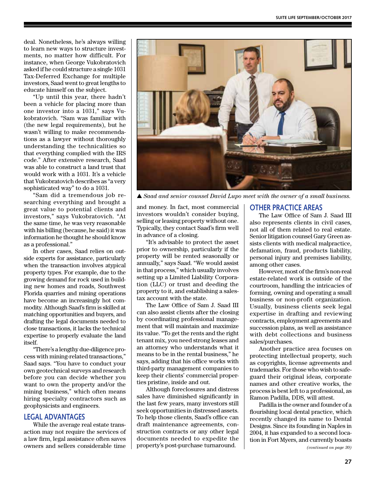deal. Nonetheless, he's always willing to learn new ways to structure investments, no matter how difficult. For instance, when George Vukobratovich asked if he could structure a single 1031 Tax-Deferred Exchange for multiple investors, Saad went to great lengths to educate himself on the subject.

"Up until this year, there hadn't been a vehicle for placing more than one investor into a 1031," says Vukobratovich. "Sam was familiar with (the new legal requirements), but he wasn't willing to make recommendations as a lawyer without thoroughly understanding the technicalities so that everything complied with the IRS code." After extensive research, Saad was able to construct a land trust that would work with a 1031. It's a vehicle that Vukobratovich describes as "a very sophisticated way" to do a 1031.

"Sam did a tremendous job researching everything and brought a great value to potential clients and investors," says Vukobratovich. "At the same time, he was very reasonable with his billing (because, he said) it was information he thought he should know as a professional."

In other cases, Saad relies on outside experts for assistance, particularly when the transaction involves atypical property types. For example, due to the growing demand for rock used in building new homes and roads, Southwest Florida quarries and mining operations have become an increasingly hot commodity. Although Saad's firm is skilled at matching opportunities and buyers, and drafting the legal documents needed to close transactions, it lacks the technical expertise to properly evaluate the land itself.

"There's a lengthy due-diligence process with mining-related transactions," Saad says. "You have to conduct your own geotechnical surveys and research before you can decide whether you want to own the property and/or the mining business," which often means hiring specialty contractors such as geophysicists and engineers.

#### **LEGAL ADVANTAGES**

While the average real estate transaction may not require the services of a law firm, legal assistance often saves owners and sellers considerable time



▲ Saad and senior counsel David Lupo meet with the owner of a small business.

and money. In fact, most commercial investors wouldn't consider buying, selling or leasing property without one. Typically, they contact Saad's firm well in advance of a closing.

"It's advisable to protect the asset prior to ownership, particularly if the property will be rented seasonally or annually," says Saad. "We would assist in that process," which usually involves setting up a Limited Liability Corporation (LLC) or trust and deeding the property to it, and establishing a salestax account with the state.

The Law Office of Sam J. Saad III can also assist clients after the closing by coordinating professional management that will maintain and maximize its value. "To get the rents and the right tenant mix, you need strong leases and an attorney who understands what it means to be in the rental business," he says, adding that his office works with third-party management companies to keep their clients' commercial properties pristine, inside and out.

Although foreclosures and distress sales have diminished significantly in the last few years, many investors still seek opportunities in distressed assets. To help those clients, Saad's office can draft maintenance agreements, construction contracts or any other legal documents needed to expedite the property's post-purchase turnaround.

#### **OTHER PRACTICE AREAS**

The Law Office of Sam J. Saad III also represents clients in civil cases, not all of them related to real estate. Senior litigation counsel Gary Green assists clients with medical malpractice, defamation, fraud, products liability, personal injury and premises liability, among other cases.

However, most of the firm's non-real estate-related work is outside of the courtroom, handling the intricacies of forming, owning and operating a small business or non-profit organization. Usually, business clients seek legal expertise in drafting and reviewing contracts, employment agreements and succession plans, as well as assistance with debt collections and business sales/purchases.

Another practice area focuses on protecting intellectual property, such as copyrights, license agreements and trademarks. For those who wish to safeguard their original ideas, corporate names and other creative works, the process is best left to a professional, as Ramon Padilla, DDS, will attest.

Padilla is the owner and founder of a flourishing local dental practice, which recently changed its name to Dental Designs. Since its founding in Naples in 2004, it has expanded to a second location in Fort Myers, and currently boasts

*(continued on page 30)*